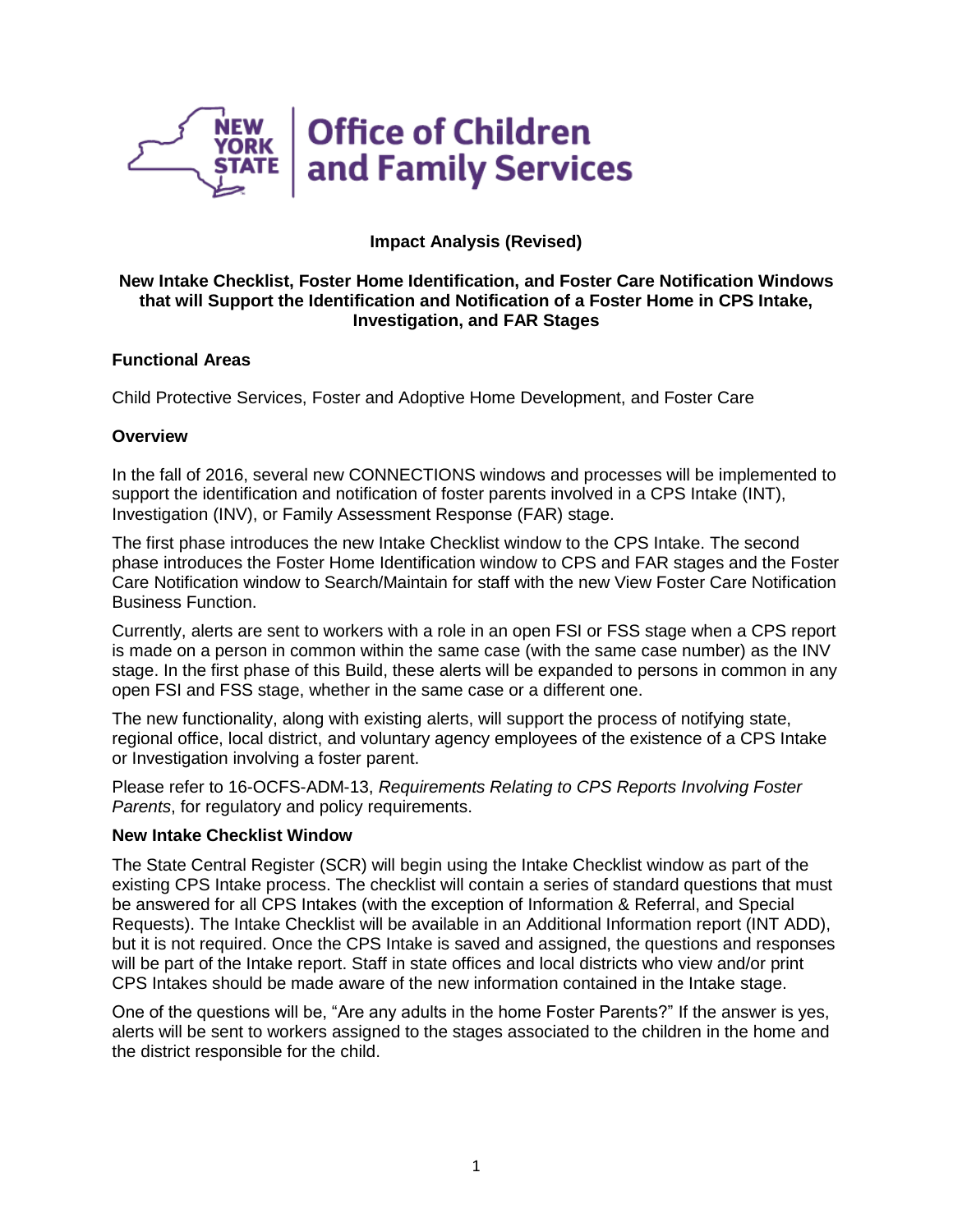

# **Impact Analysis (Revised)**

### **New Intake Checklist, Foster Home Identification, and Foster Care Notification Windows that will Support the Identification and Notification of a Foster Home in CPS Intake, Investigation, and FAR Stages**

### **Functional Areas**

Child Protective Services, Foster and Adoptive Home Development, and Foster Care

### **Overview**

In the fall of 2016, several new CONNECTIONS windows and processes will be implemented to support the identification and notification of foster parents involved in a CPS Intake (INT), Investigation (INV), or Family Assessment Response (FAR) stage.

The first phase introduces the new Intake Checklist window to the CPS Intake. The second phase introduces the Foster Home Identification window to CPS and FAR stages and the Foster Care Notification window to Search/Maintain for staff with the new View Foster Care Notification Business Function.

Currently, alerts are sent to workers with a role in an open FSI or FSS stage when a CPS report is made on a person in common within the same case (with the same case number) as the INV stage. In the first phase of this Build, these alerts will be expanded to persons in common in any open FSI and FSS stage, whether in the same case or a different one.

The new functionality, along with existing alerts, will support the process of notifying state, regional office, local district, and voluntary agency employees of the existence of a CPS Intake or Investigation involving a foster parent.

Please refer to 16-OCFS-ADM-13, *Requirements Relating to CPS Reports Involving Foster Parents*, for regulatory and policy requirements.

#### **New Intake Checklist Window**

The State Central Register (SCR) will begin using the Intake Checklist window as part of the existing CPS Intake process. The checklist will contain a series of standard questions that must be answered for all CPS Intakes (with the exception of Information & Referral, and Special Requests). The Intake Checklist will be available in an Additional Information report (INT ADD), but it is not required. Once the CPS Intake is saved and assigned, the questions and responses will be part of the Intake report. Staff in state offices and local districts who view and/or print CPS Intakes should be made aware of the new information contained in the Intake stage.

One of the questions will be, "Are any adults in the home Foster Parents?" If the answer is yes, alerts will be sent to workers assigned to the stages associated to the children in the home and the district responsible for the child.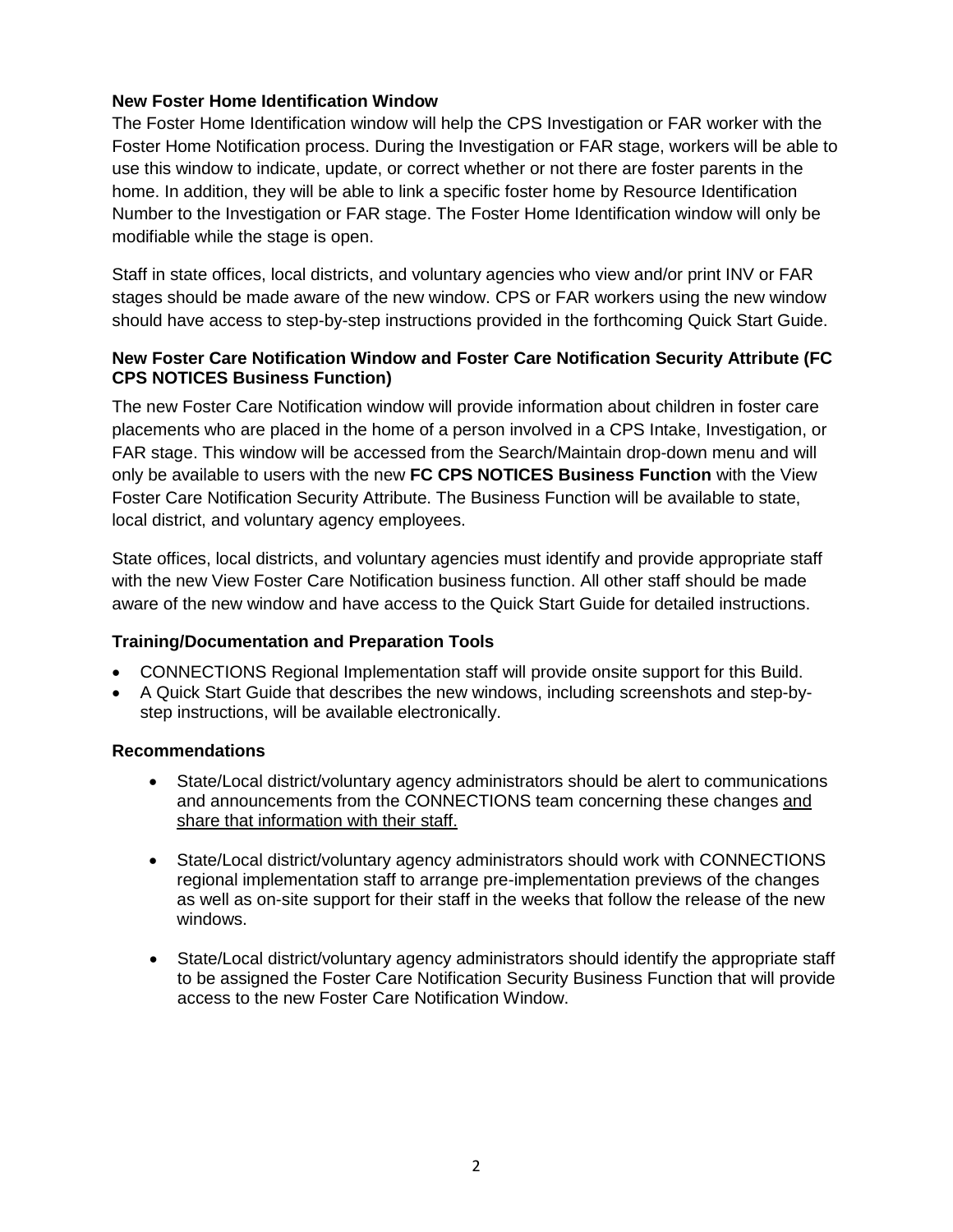# **New Foster Home Identification Window**

The Foster Home Identification window will help the CPS Investigation or FAR worker with the Foster Home Notification process. During the Investigation or FAR stage, workers will be able to use this window to indicate, update, or correct whether or not there are foster parents in the home. In addition, they will be able to link a specific foster home by Resource Identification Number to the Investigation or FAR stage. The Foster Home Identification window will only be modifiable while the stage is open.

Staff in state offices, local districts, and voluntary agencies who view and/or print INV or FAR stages should be made aware of the new window. CPS or FAR workers using the new window should have access to step-by-step instructions provided in the forthcoming Quick Start Guide.

# **New Foster Care Notification Window and Foster Care Notification Security Attribute (FC CPS NOTICES Business Function)**

The new Foster Care Notification window will provide information about children in foster care placements who are placed in the home of a person involved in a CPS Intake, Investigation, or FAR stage. This window will be accessed from the Search/Maintain drop-down menu and will only be available to users with the new **FC CPS NOTICES Business Function** with the View Foster Care Notification Security Attribute. The Business Function will be available to state, local district, and voluntary agency employees.

State offices, local districts, and voluntary agencies must identify and provide appropriate staff with the new View Foster Care Notification business function. All other staff should be made aware of the new window and have access to the Quick Start Guide for detailed instructions.

## **Training/Documentation and Preparation Tools**

- CONNECTIONS Regional Implementation staff will provide onsite support for this Build.
- A Quick Start Guide that describes the new windows, including screenshots and step-bystep instructions, will be available electronically.

## **Recommendations**

- State/Local district/voluntary agency administrators should be alert to communications and announcements from the CONNECTIONS team concerning these changes and share that information with their staff.
- State/Local district/voluntary agency administrators should work with CONNECTIONS regional implementation staff to arrange pre-implementation previews of the changes as well as on-site support for their staff in the weeks that follow the release of the new windows.
- State/Local district/voluntary agency administrators should identify the appropriate staff to be assigned the Foster Care Notification Security Business Function that will provide access to the new Foster Care Notification Window.